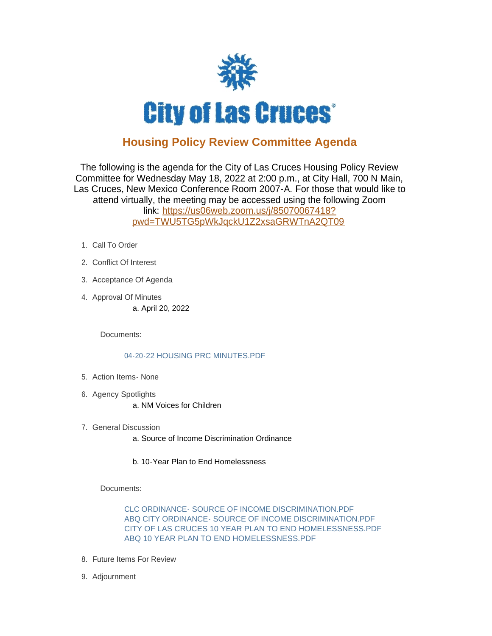

## **Housing Policy Review Committee Agenda**

The following is the agenda for the City of Las Cruces Housing Policy Review Committee for Wednesday May 18, 2022 at 2:00 p.m., at City Hall, 700 N Main, Las Cruces, New Mexico Conference Room 2007-A. For those that would like to attend virtually, the meeting may be accessed using the following Zoom link: [https://us06web.zoom.us/j/85070067418?](https://us06web.zoom.us/j/85070067418?pwd=TWU5TG5pWkJqckU1Z2xsaGRWTnA2QT09) pwd=TWU5TG5pWkJqckU1Z2xsaGRWTnA2QT09

- 1. Call To Order
- 2. Conflict Of Interest
- 3. Acceptance Of Agenda
- 4. Approval Of Minutes a. April 20, 2022

Documents:

## [04-20-22 HOUSING PRC MINUTES.PDF](https://www.las-cruces.org/AgendaCenter/ViewFile/Item/9350?fileID=15463)

- 5. Action Items None
- 6. Agency Spotlights a. NM Voices for Children
- 7. General Discussion
	- a. Source of Income Discrimination Ordinance
	- b. 10-Year Plan to End Homelessness

Documents:

[CLC ORDINANCE- SOURCE OF INCOME DISCRIMINATION.PDF](https://www.las-cruces.org/AgendaCenter/ViewFile/Item/9353?fileID=15472) [ABQ CITY ORDINANCE- SOURCE OF INCOME DISCRIMINATION.PDF](https://www.las-cruces.org/AgendaCenter/ViewFile/Item/9353?fileID=15473) [CITY OF LAS CRUCES 10 YEAR PLAN TO END HOMELESSNESS.PDF](https://www.las-cruces.org/AgendaCenter/ViewFile/Item/9353?fileID=15474) [ABQ 10 YEAR PLAN TO END HOMELESSNESS.PDF](https://www.las-cruces.org/AgendaCenter/ViewFile/Item/9353?fileID=15475)

- 8. Future Items For Review
- 9. Adjournment